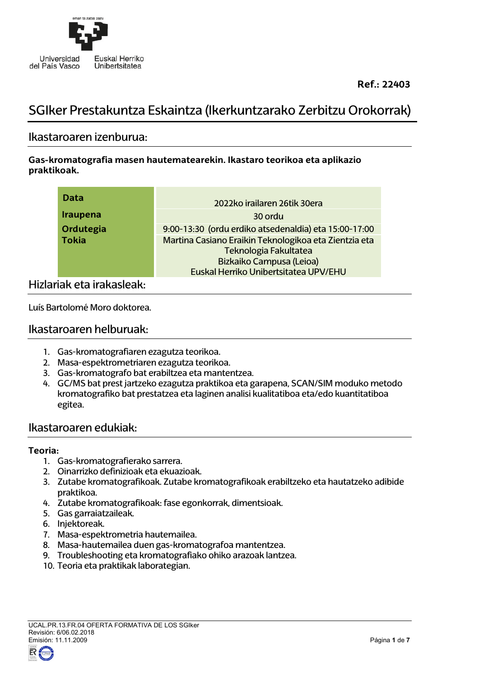

# SGIker Prestakuntza Eskaintza (Ikerkuntzarako Zerbitzu Orokorrak)

### Ikastaroaren izenburua:

**Gas-kromatografia masen hautematearekin. Ikastaro teorikoa eta aplikazio praktikoak.**

| Data            | 2022ko irailaren 26tik 30era                                                                                                                        |
|-----------------|-----------------------------------------------------------------------------------------------------------------------------------------------------|
| <b>Iraupena</b> | 30 ordu                                                                                                                                             |
| Ordutegia       | 9:00-13:30 (ordu erdiko atsedenaldia) eta 15:00-17:00                                                                                               |
| <b>Tokia</b>    | Martina Casiano Eraikin Teknologikoa eta Zientzia eta<br>Teknologia Fakultatea<br>Bizkaiko Campusa (Leioa)<br>Euskal Herriko Unibertsitatea UPV/EHU |

### Hizlariak eta irakasleak:

Luís Bartolomé Moro doktorea.

### Ikastaroaren helburuak:

- 1. Gas-kromatografiaren ezagutza teorikoa.
- 2. Masa-espektrometriaren ezagutza teorikoa.
- 3. Gas-kromatografo bat erabiltzea eta mantentzea.
- 4. GC/MS bat prest jartzeko ezagutza praktikoa eta garapena, SCAN/SIM moduko metodo kromatografiko bat prestatzea eta laginen analisi kualitatiboa eta/edo kuantitatiboa egitea.

### Ikastaroaren edukiak:

#### **Teoria:**

- 1. Gas-kromatografierako sarrera.
- 2. Oinarrizko definizioak eta ekuazioak.
- 3. Zutabe kromatografikoak. Zutabe kromatografikoak erabiltzeko eta hautatzeko adibide praktikoa.
- 4. Zutabe kromatografikoak: fase egonkorrak, dimentsioak.
- 5. Gas garraiatzaileak.
- 6. Injektoreak.
- 7. Masa-espektrometria hautemailea.
- 8. Masa-hautemailea duen gas-kromatografoa mantentzea.
- 9. Troubleshooting eta kromatografiako ohiko arazoak lantzea.
- 10. Teoria eta praktikak laborategian.

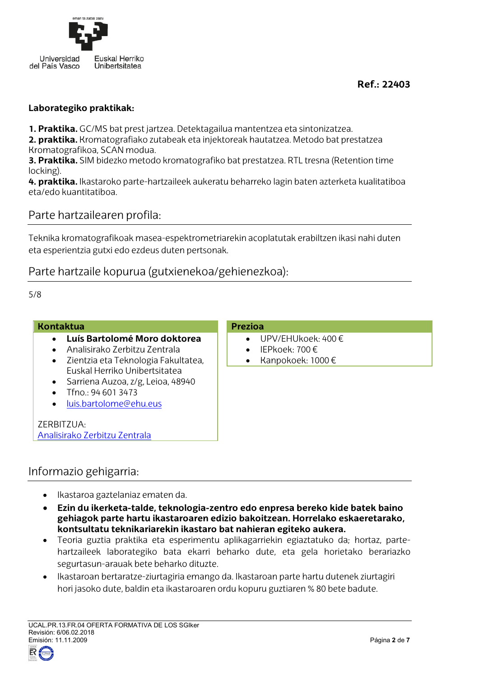

### **Laborategiko praktikak:**

**1. Praktika.** GC/MS bat prest jartzea. Detektagailua mantentzea eta sintonizatzea.

**2. praktika.** Kromatografiako zutabeak eta injektoreak hautatzea. Metodo bat prestatzea Kromatografikoa, SCAN modua.

**3. Praktika.** SIM bidezko metodo kromatografiko bat prestatzea. RTL tresna (Retention time locking).

**4. praktika.** Ikastaroko parte-hartzaileek aukeratu beharreko lagin baten azterketa kualitatiboa eta/edo kuantitatiboa.

### Parte hartzailearen profila:

Teknika kromatografikoak masea-espektrometriarekin acoplatutak erabiltzen ikasi nahi duten eta esperientzia gutxi edo ezdeus duten pertsonak.

### Parte hartzaile kopurua (gutxienekoa/gehienezkoa):

5/8

#### **Kontaktua**

- **Luís Bartolomé Moro doktorea**
- Analisirako Zerbitzu Zentrala
- Zientzia eta Teknologia Fakultatea, Euskal Herriko Unibertsitatea
- Sarriena Auzoa, z/g, Leioa, 48940
- Tfno.: 94 601 3473
- [luis.bartolome@ehu.eus](mailto:luis.bartolome@ehu.eus)

ZERBITZUA: [Analisirako Zerbitzu Zentrala](https://www.ehu.eus/eu/web/sgiker/bizkaiko-analisirako-zerbitzu-zentrala-aurkezpena)

### **Prezioa**

- UPV/EHUkoek: 400 €
- IEPkoek: 700 €
- Kanpokoek: 1000 €

### Informazio gehigarria:

- Ikastaroa gaztelaniaz ematen da.
- **Ezin du ikerketa-talde, teknologia-zentro edo enpresa bereko kide batek baino gehiagok parte hartu ikastaroaren edizio bakoitzean. Horrelako eskaeretarako, kontsultatu teknikariarekin ikastaro bat nahieran egiteko aukera.**
- Teoria guztia praktika eta esperimentu aplikagarriekin egiaztatuko da; hortaz, partehartzaileek laborategiko bata ekarri beharko dute, eta gela horietako berariazko segurtasun-arauak bete beharko dituzte.
- Ikastaroan bertaratze-ziurtagiria emango da. Ikastaroan parte hartu dutenek ziurtagiri hori jasoko dute, baldin eta ikastaroaren ordu kopuru guztiaren % 80 bete badute.

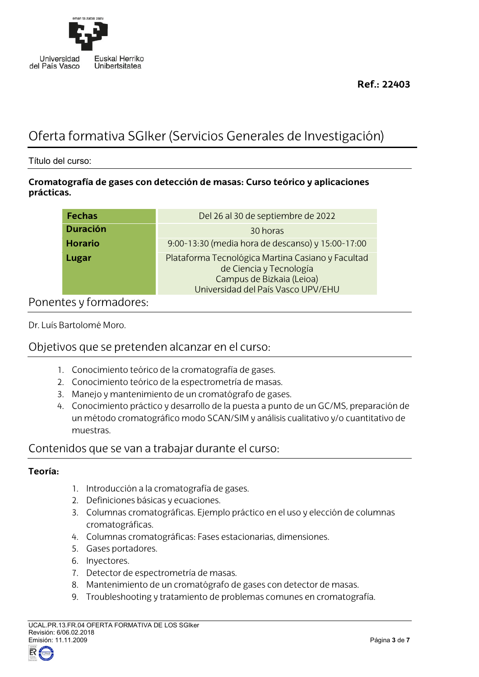

# Oferta formativa SGIker (Servicios Generales de Investigación)

Título del curso:

### **Cromatografía de gases con detección de masas: Curso teórico y aplicaciones prácticas.**

| <b>Fechas</b>   | Del 26 al 30 de septiembre de 2022                                                                                                              |
|-----------------|-------------------------------------------------------------------------------------------------------------------------------------------------|
| <b>Duración</b> | 30 horas                                                                                                                                        |
| <b>Horario</b>  | 9:00-13:30 (media hora de descanso) y 15:00-17:00                                                                                               |
| Lugar           | Plataforma Tecnológica Martina Casiano y Facultad<br>de Ciencia y Tecnología<br>Campus de Bizkaia (Leioa)<br>Universidad del País Vasco UPV/EHU |

### Ponentes y formadores:

Dr. Luís Bartolomé Moro.

# Objetivos que se pretenden alcanzar en el curso:

- 1. Conocimiento teórico de la cromatografía de gases.
- 2. Conocimiento teórico de la espectrometría de masas.
- 3. Manejo y mantenimiento de un cromatógrafo de gases.
- 4. Conocimiento práctico y desarrollo de la puesta a punto de un GC/MS, preparación de un método cromatográfico modo SCAN/SIM y análisis cualitativo y/o cuantitativo de muestras.

# Contenidos que se van a trabajar durante el curso:

### **Teoría:**

- 1. Introducción a la cromatografía de gases.
- 2. Definiciones básicas y ecuaciones.
- 3. Columnas cromatográficas. Ejemplo práctico en el uso y elección de columnas cromatográficas.
- 4. Columnas cromatográficas: Fases estacionarias, dimensiones.
- 5. Gases portadores.
- 6. Inyectores.
- 7. Detector de espectrometría de masas.
- 8. Mantenimiento de un cromatógrafo de gases con detector de masas.
- 9. Troubleshooting y tratamiento de problemas comunes en cromatografía.

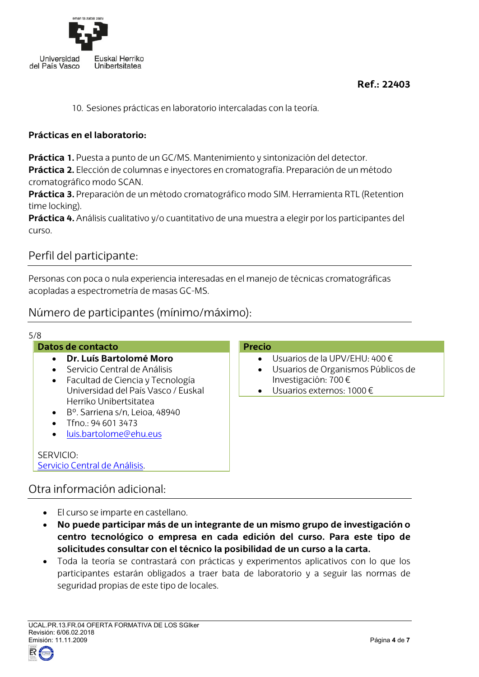

10. Sesiones prácticas en laboratorio intercaladas con la teoría.

### **Prácticas en el laboratorio:**

**Práctica 1.** Puesta a punto de un GC/MS. Mantenimiento y sintonización del detector. **Práctica 2.** Elección de columnas e inyectores en cromatografía. Preparación de un método cromatográfico modo SCAN.

**Práctica 3.** Preparación de un método cromatográfico modo SIM. Herramienta RTL (Retention time locking).

**Práctica 4.** Análisis cualitativo y/o cuantitativo de una muestra a elegir por los participantes del curso.

# Perfil del participante:

Personas con poca o nula experiencia interesadas en el manejo de técnicas cromatográficas acopladas a espectrometría de masas GC-MS.

# Número de participantes (mínimo/máximo):

| 5/8<br>Datos de contacto                                                                                                           | <b>Precio</b>                                                                                                                                            |
|------------------------------------------------------------------------------------------------------------------------------------|----------------------------------------------------------------------------------------------------------------------------------------------------------|
| Dr. Luís Bartolomé Moro<br>Servicio Central de Análisis<br>Facultad de Ciencia y Tecnología<br>Universidad del País Vasco / Euskal | • Usuarios de la UPV/EHU: $400 \in$<br>Usuarios de Organismos Públicos de<br>$\bullet$<br>Investigación: 700 €<br>Usuarios externos: 1000 €<br>$\bullet$ |
| Herriko Unibertsitatea<br>$\bullet$ B <sup>o</sup> . Sarriena s/n, Leioa, 48940<br>Tfno.: 94 601 3473<br>luis.bartolome@ehu.eus    |                                                                                                                                                          |
| SERVICIO:<br>Servicio Central de Análisis.                                                                                         |                                                                                                                                                          |
| Otra información adicional:                                                                                                        |                                                                                                                                                          |
|                                                                                                                                    |                                                                                                                                                          |

- El curso se imparte en castellano.
- **No puede participar más de un integrante de un mismo grupo de investigación o centro tecnológico o empresa en cada edición del curso. Para este tipo de solicitudes consultar con el técnico la posibilidad de un curso a la carta.**
- Toda la teoría se contrastará con prácticas y experimentos aplicativos con lo que los participantes estarán obligados a traer bata de laboratorio y a seguir las normas de seguridad propias de este tipo de locales.

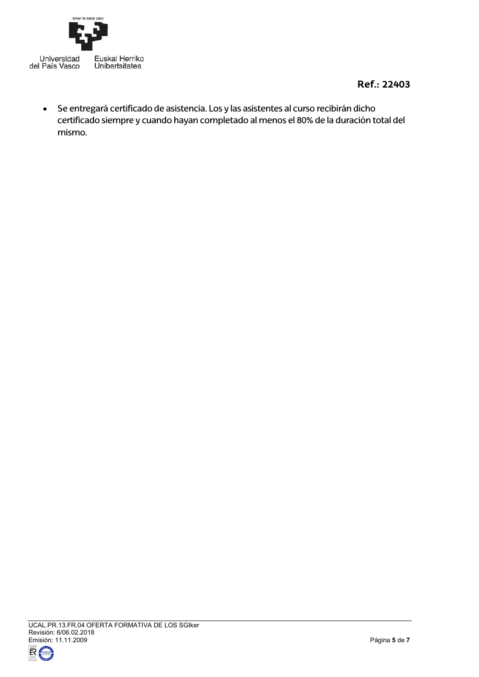

• Se entregará certificado de asistencia. Los y las asistentes al curso recibirán dicho certificado siempre y cuando hayan completado al menos el 80% de la duración total del mismo.

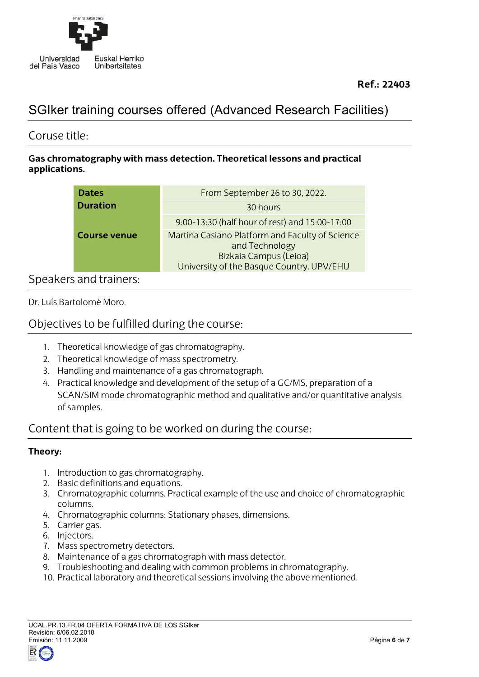

# SGIker training courses offered (Advanced Research Facilities)

### Coruse title:

### **Gas chromatography with mass detection. Theoretical lessons and practical applications.**

| <b>Dates</b>        | From September 26 to 30, 2022.                                                                                                           |
|---------------------|------------------------------------------------------------------------------------------------------------------------------------------|
| <b>Duration</b>     | 30 hours                                                                                                                                 |
|                     | 9:00-13:30 (half hour of rest) and 15:00-17:00                                                                                           |
| <b>Course venue</b> | Martina Casiano Platform and Faculty of Science<br>and Technology<br>Bizkaia Campus (Leioa)<br>University of the Basque Country, UPV/EHU |

# Speakers and trainers:

Dr. Luís Bartolomé Moro.

## Objectives to be fulfilled during the course:

- 1. Theoretical knowledge of gas chromatography.
- 2. Theoretical knowledge of mass spectrometry.
- 3. Handling and maintenance of a gas chromatograph.
- 4. Practical knowledge and development of the setup of a GC/MS, preparation of a SCAN/SIM mode chromatographic method and qualitative and/or quantitative analysis of samples.

# Content that is going to be worked on during the course:

### **Theory:**

- 1. Introduction to gas chromatography.
- 2. Basic definitions and equations.
- 3. Chromatographic columns. Practical example of the use and choice of chromatographic columns.
- 4. Chromatographic columns: Stationary phases, dimensions.
- 5. Carrier gas.
- 6. Injectors.
- 7. Mass spectrometry detectors.
- 8. Maintenance of a gas chromatograph with mass detector.
- 9. Troubleshooting and dealing with common problems in chromatography.
- 10. Practical laboratory and theoretical sessions involving the above mentioned.